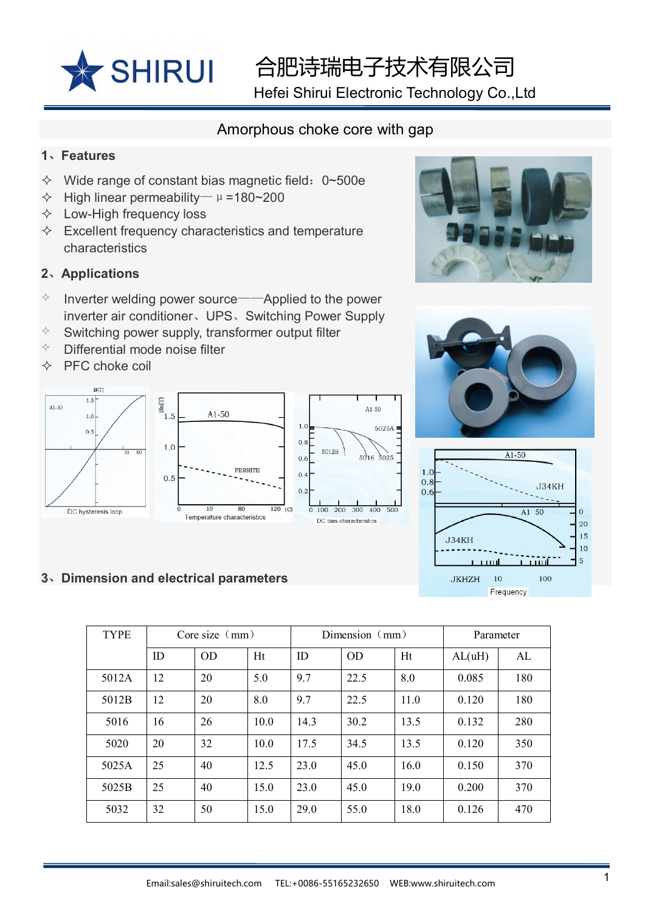

合肥诗瑞电子技术有限公司

Hefei Shirui Electronic Technology Co.,Ltd

# Amorphous choke core with gap

#### **1**、**Features**

- $\div$  Wide range of constant bias magnetic field: 0~500e
- $\div$  High linear permeability—  $\mu$  =180~200
- $\Diamond$  Low-High frequency loss
- $\Diamond$  Excellent frequency characteristics and temperature characteristics

## **2**、**Applications**

- $\Diamond$  Inverter welding power source——Applied to the power inverter air conditioner、UPS、Switching Power Supply
- $\Diamond$  Switching power supply, transformer output filter
- $\Diamond$  Differential mode noise filter
- $\Diamond$  PFC choke coil



### **3**、**Dimension and electrical parameters**







| <b>TYPE</b> | Core size $(mm)$ |    | Dimension $(mm)$ |      |      | Parameter |        |     |
|-------------|------------------|----|------------------|------|------|-----------|--------|-----|
|             | ID               | OD | Ht               | ID   | OD   | Ht        | AL(uH) | AL  |
| 5012A       | 12               | 20 | 5.0              | 9.7  | 22.5 | 8.0       | 0.085  | 180 |
| 5012B       | 12               | 20 | 8.0              | 9.7  | 22.5 | 11.0      | 0.120  | 180 |
| 5016        | 16               | 26 | 10.0             | 14.3 | 30.2 | 13.5      | 0.132  | 280 |
| 5020        | 20               | 32 | 10.0             | 17.5 | 34.5 | 13.5      | 0.120  | 350 |
| 5025A       | 25               | 40 | 12.5             | 23.0 | 45.0 | 16.0      | 0.150  | 370 |
| 5025B       | 25               | 40 | 15.0             | 23.0 | 45.0 | 19.0      | 0.200  | 370 |
| 5032        | 32               | 50 | 15.0             | 29.0 | 55.0 | 18.0      | 0.126  | 470 |